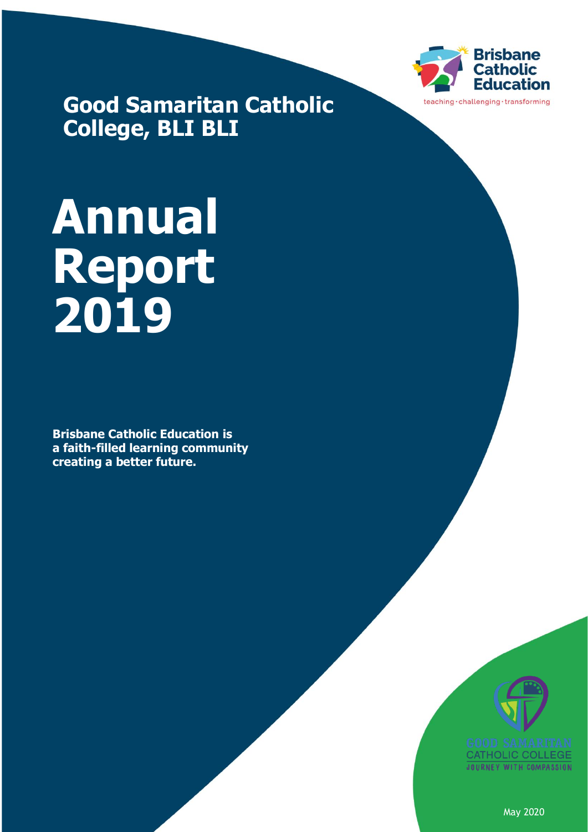

**Good Samaritan Catholic College, BLI BLI**

# **Annual Report 2019**

**Brisbane Catholic Education is a faith-filled learning community creating a better future.**



May 2020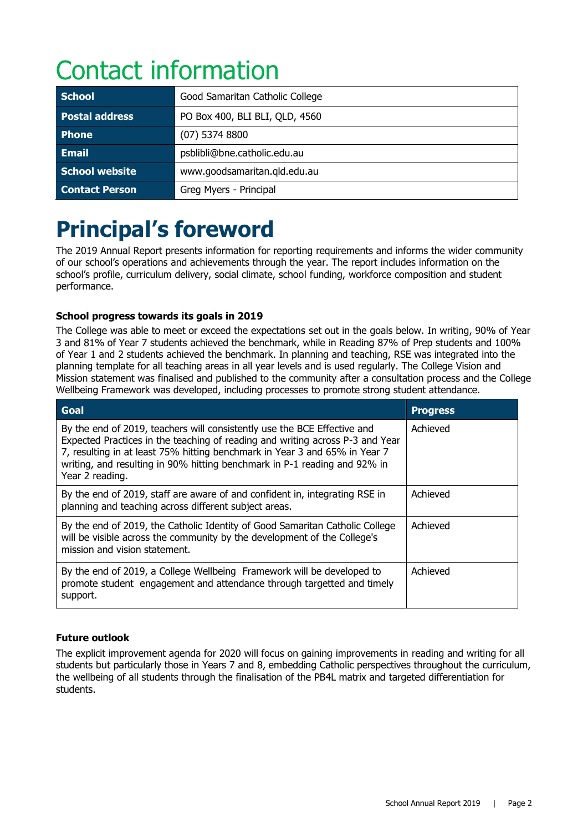## Contact information

| <b>School</b>         | Good Samaritan Catholic College |
|-----------------------|---------------------------------|
| <b>Postal address</b> | PO Box 400, BLI BLI, QLD, 4560  |
| <b>Phone</b>          | $(07)$ 5374 8800                |
| <b>Email</b>          | psblibli@bne.catholic.edu.au    |
| School website        | www.goodsamaritan.gld.edu.au    |
| <b>Contact Person</b> | Greg Myers - Principal          |

### **Principal's foreword**

The 2019 Annual Report presents information for reporting requirements and informs the wider community of our school's operations and achievements through the year. The report includes information on the school's profile, curriculum delivery, social climate, school funding, workforce composition and student performance.

### **School progress towards its goals in 2019**

The College was able to meet or exceed the expectations set out in the goals below. In writing, 90% of Year 3 and 81% of Year 7 students achieved the benchmark, while in Reading 87% of Prep students and 100% of Year 1 and 2 students achieved the benchmark. In planning and teaching, RSE was integrated into the planning template for all teaching areas in all year levels and is used regularly. The College Vision and Mission statement was finalised and published to the community after a consultation process and the College Wellbeing Framework was developed, including processes to promote strong student attendance.

| Goal                                                                                                                                                                                                                                                                                                                                    | <b>Progress</b> |
|-----------------------------------------------------------------------------------------------------------------------------------------------------------------------------------------------------------------------------------------------------------------------------------------------------------------------------------------|-----------------|
| By the end of 2019, teachers will consistently use the BCE Effective and<br>Expected Practices in the teaching of reading and writing across P-3 and Year<br>7, resulting in at least 75% hitting benchmark in Year 3 and 65% in Year 7<br>writing, and resulting in 90% hitting benchmark in P-1 reading and 92% in<br>Year 2 reading. | Achieved        |
| By the end of 2019, staff are aware of and confident in, integrating RSE in<br>planning and teaching across different subject areas.                                                                                                                                                                                                    | Achieved        |
| By the end of 2019, the Catholic Identity of Good Samaritan Catholic College<br>will be visible across the community by the development of the College's<br>mission and vision statement.                                                                                                                                               | Achieved        |
| By the end of 2019, a College Wellbeing Framework will be developed to<br>promote student engagement and attendance through targetted and timely<br>support.                                                                                                                                                                            | Achieved        |

### **Future outlook**

The explicit improvement agenda for 2020 will focus on gaining improvements in reading and writing for all students but particularly those in Years 7 and 8, embedding Catholic perspectives throughout the curriculum, the wellbeing of all students through the finalisation of the PB4L matrix and targeted differentiation for students.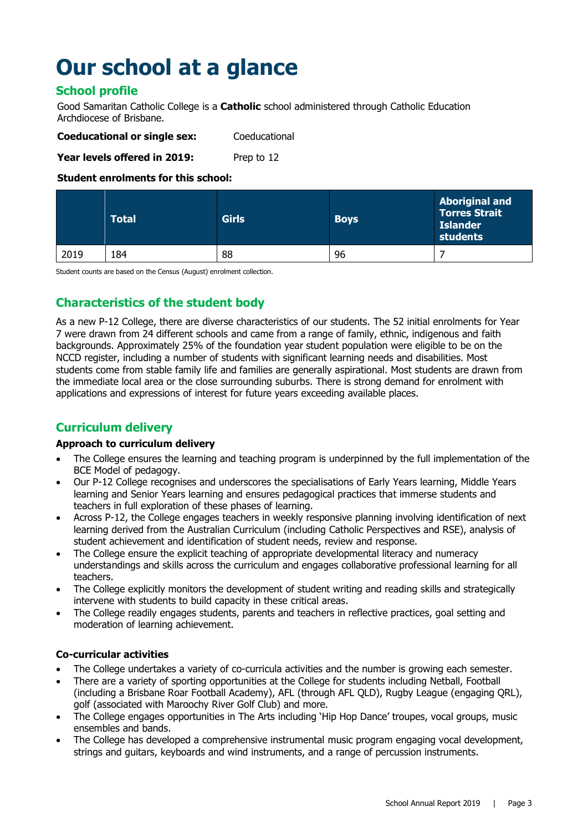### **Our school at a glance**

### **School profile**

Good Samaritan Catholic College is a **Catholic** school administered through Catholic Education Archdiocese of Brisbane.

| <b>Coeducational or single sex:</b> | Coeducational |
|-------------------------------------|---------------|
| Year levels offered in 2019:        | Prep to 12    |

### **Student enrolments for this school:**

|      | <b>Total</b> | <b>Girls</b> | <b>Boys</b> | <b>Aboriginal and</b><br><b>Torres Strait</b><br><b>Islander</b><br>students |
|------|--------------|--------------|-------------|------------------------------------------------------------------------------|
| 2019 | !84          | 88           | 96          |                                                                              |

Student counts are based on the Census (August) enrolment collection.

### **Characteristics of the student body**

As a new P-12 College, there are diverse characteristics of our students. The 52 initial enrolments for Year 7 were drawn from 24 different schools and came from a range of family, ethnic, indigenous and faith backgrounds. Approximately 25% of the foundation year student population were eligible to be on the NCCD register, including a number of students with significant learning needs and disabilities. Most students come from stable family life and families are generally aspirational. Most students are drawn from the immediate local area or the close surrounding suburbs. There is strong demand for enrolment with applications and expressions of interest for future years exceeding available places.

### **Curriculum delivery**

### **Approach to curriculum delivery**

- The College ensures the learning and teaching program is underpinned by the full implementation of the BCE Model of pedagogy.
- Our P-12 College recognises and underscores the specialisations of Early Years learning, Middle Years learning and Senior Years learning and ensures pedagogical practices that immerse students and teachers in full exploration of these phases of learning.
- Across P-12, the College engages teachers in weekly responsive planning involving identification of next learning derived from the Australian Curriculum (including Catholic Perspectives and RSE), analysis of student achievement and identification of student needs, review and response.
- The College ensure the explicit teaching of appropriate developmental literacy and numeracy understandings and skills across the curriculum and engages collaborative professional learning for all teachers.
- The College explicitly monitors the development of student writing and reading skills and strategically intervene with students to build capacity in these critical areas.
- The College readily engages students, parents and teachers in reflective practices, goal setting and moderation of learning achievement.

### **Co-curricular activities**

- The College undertakes a variety of co-curricula activities and the number is growing each semester.
- There are a variety of sporting opportunities at the College for students including Netball, Football (including a Brisbane Roar Football Academy), AFL (through AFL QLD), Rugby League (engaging QRL), golf (associated with Maroochy River Golf Club) and more.
- The College engages opportunities in The Arts including 'Hip Hop Dance' troupes, vocal groups, music ensembles and bands.
- The College has developed a comprehensive instrumental music program engaging vocal development, strings and guitars, keyboards and wind instruments, and a range of percussion instruments.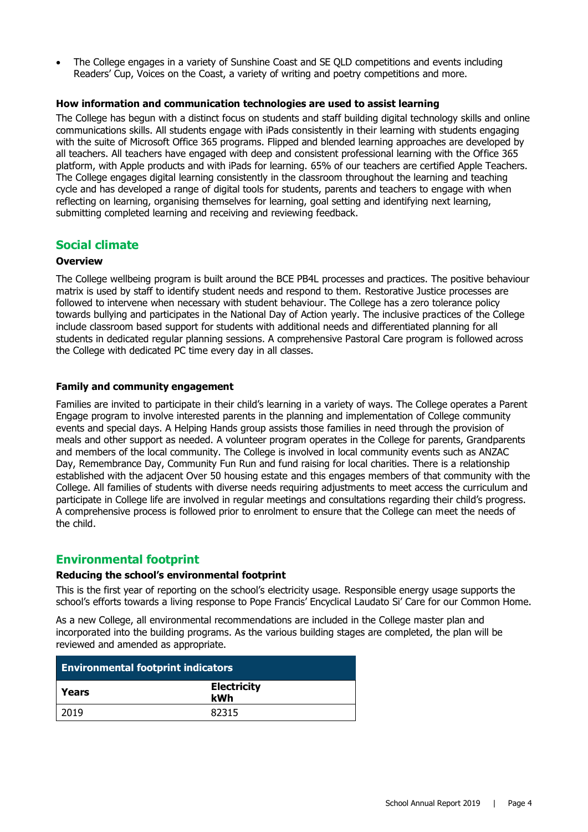• The College engages in a variety of Sunshine Coast and SE QLD competitions and events including Readers' Cup, Voices on the Coast, a variety of writing and poetry competitions and more.

### **How information and communication technologies are used to assist learning**

The College has begun with a distinct focus on students and staff building digital technology skills and online communications skills. All students engage with iPads consistently in their learning with students engaging with the suite of Microsoft Office 365 programs. Flipped and blended learning approaches are developed by all teachers. All teachers have engaged with deep and consistent professional learning with the Office 365 platform, with Apple products and with iPads for learning. 65% of our teachers are certified Apple Teachers. The College engages digital learning consistently in the classroom throughout the learning and teaching cycle and has developed a range of digital tools for students, parents and teachers to engage with when reflecting on learning, organising themselves for learning, goal setting and identifying next learning, submitting completed learning and receiving and reviewing feedback.

### **Social climate**

### **Overview**

The College wellbeing program is built around the BCE PB4L processes and practices. The positive behaviour matrix is used by staff to identify student needs and respond to them. Restorative Justice processes are followed to intervene when necessary with student behaviour. The College has a zero tolerance policy towards bullying and participates in the National Day of Action yearly. The inclusive practices of the College include classroom based support for students with additional needs and differentiated planning for all students in dedicated regular planning sessions. A comprehensive Pastoral Care program is followed across the College with dedicated PC time every day in all classes.

### **Family and community engagement**

Families are invited to participate in their child's learning in a variety of ways. The College operates a Parent Engage program to involve interested parents in the planning and implementation of College community events and special days. A Helping Hands group assists those families in need through the provision of meals and other support as needed. A volunteer program operates in the College for parents, Grandparents and members of the local community. The College is involved in local community events such as ANZAC Day, Remembrance Day, Community Fun Run and fund raising for local charities. There is a relationship established with the adjacent Over 50 housing estate and this engages members of that community with the College. All families of students with diverse needs requiring adjustments to meet access the curriculum and participate in College life are involved in regular meetings and consultations regarding their child's progress. A comprehensive process is followed prior to enrolment to ensure that the College can meet the needs of the child.

### **Environmental footprint**

### **Reducing the school's environmental footprint**

This is the first year of reporting on the school's electricity usage. Responsible energy usage supports the school's efforts towards a living response to Pope Francis' Encyclical Laudato Si' Care for our Common Home.

As a new College, all environmental recommendations are included in the College master plan and incorporated into the building programs. As the various building stages are completed, the plan will be reviewed and amended as appropriate.

| <b>Environmental footprint indicators</b> |                           |  |  |
|-------------------------------------------|---------------------------|--|--|
| Years                                     | <b>Electricity</b><br>kWh |  |  |
| 2019                                      | 82315                     |  |  |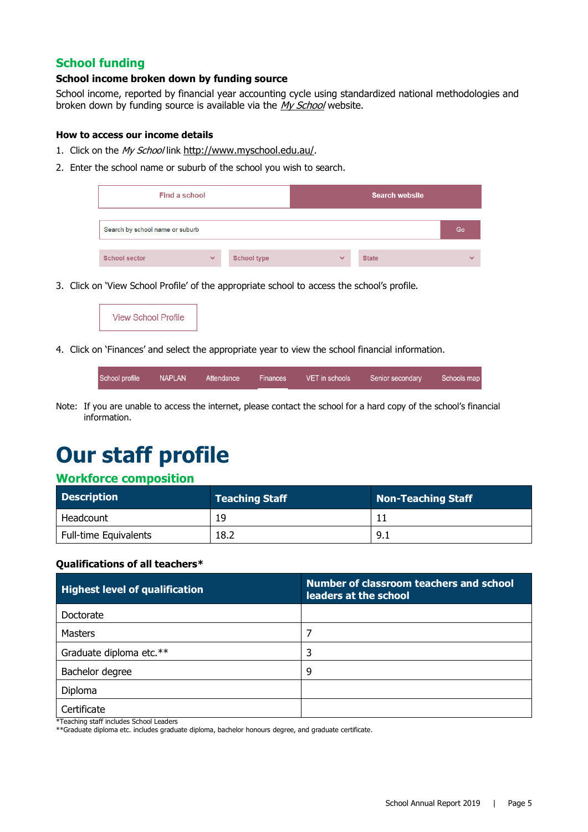### **School funding**

### **School income broken down by funding source**

School income, reported by financial year accounting cycle using standardized national methodologies and broken down by funding source is available via the [My School](http://www.myschool.edu.au/) website.

#### **How to access our income details**

- 1. Click on the My School link <http://www.myschool.edu.au/>.
- 2. Enter the school name or suburb of the school you wish to search.

| Find a school                   |              | <b>Search website</b> |              |              |              |
|---------------------------------|--------------|-----------------------|--------------|--------------|--------------|
| Search by school name or suburb |              |                       |              |              | Go           |
| <b>School sector</b>            | $\checkmark$ | <b>School type</b>    | $\checkmark$ | <b>State</b> | $\checkmark$ |

3. Click on 'View School Profile' of the appropriate school to access the school's profile.



4. Click on 'Finances' and select the appropriate year to view the school financial information.

School profile **NAPLAN** Attendance Finances VET in schools Senior secondary Schools map

Note: If you are unable to access the internet, please contact the school for a hard copy of the school's financial information.

### **Our staff profile**

### **Workforce composition**

| <b>Description</b>    | <b>Teaching Staff</b> | Non-Teaching Staff |
|-----------------------|-----------------------|--------------------|
| Headcount             | 19                    |                    |
| Full-time Equivalents | 18.2                  | 9.1                |

#### **Qualifications of all teachers\***

| <b>Highest level of qualification</b> | Number of classroom teachers and school<br>leaders at the school |
|---------------------------------------|------------------------------------------------------------------|
| Doctorate                             |                                                                  |
| <b>Masters</b>                        |                                                                  |
| Graduate diploma etc.**               | 3                                                                |
| Bachelor degree                       | 9                                                                |
| Diploma                               |                                                                  |
| Certificate                           |                                                                  |

\*Teaching staff includes School Leaders

\*\*Graduate diploma etc. includes graduate diploma, bachelor honours degree, and graduate certificate.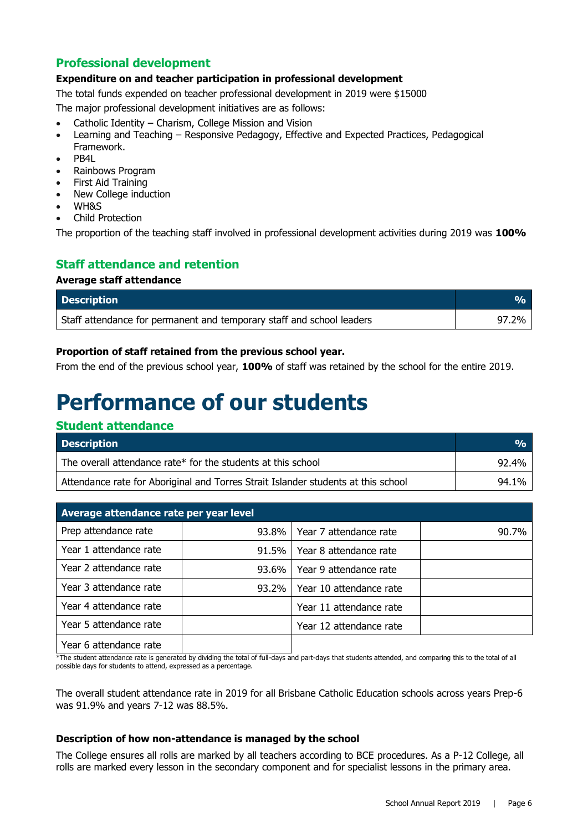### **Professional development**

### **Expenditure on and teacher participation in professional development**

The total funds expended on teacher professional development in 2019 were \$15000

The major professional development initiatives are as follows:

- Catholic Identity Charism, College Mission and Vision
- Learning and Teaching Responsive Pedagogy, Effective and Expected Practices, Pedagogical Framework.
- PB4L
- Rainbows Program
- First Aid Training
- New College induction
- WH&S
- Child Protection

The proportion of the teaching staff involved in professional development activities during 2019 was **100%**

### **Staff attendance and retention**

### **Average staff attendance**

| <b>Description</b>                                                    |       |
|-----------------------------------------------------------------------|-------|
| Staff attendance for permanent and temporary staff and school leaders | 97.2% |

### **Proportion of staff retained from the previous school year.**

From the end of the previous school year, **100%** of staff was retained by the school for the entire 2019.

### **Performance of our students**

### **Student attendance**

| <b>Description</b>                                                                | $\frac{O}{O}$ |
|-----------------------------------------------------------------------------------|---------------|
| The overall attendance rate* for the students at this school                      | 92.4%         |
| Attendance rate for Aboriginal and Torres Strait Islander students at this school | 94.1%         |

| Average attendance rate per year level |          |                         |       |  |  |
|----------------------------------------|----------|-------------------------|-------|--|--|
| Prep attendance rate                   | $93.8\%$ | Year 7 attendance rate  | 90.7% |  |  |
| Year 1 attendance rate                 | $91.5\%$ | Year 8 attendance rate  |       |  |  |
| Year 2 attendance rate                 | $93.6\%$ | Year 9 attendance rate  |       |  |  |
| Year 3 attendance rate                 | $93.2\%$ | Year 10 attendance rate |       |  |  |
| Year 4 attendance rate                 |          | Year 11 attendance rate |       |  |  |
| Year 5 attendance rate                 |          | Year 12 attendance rate |       |  |  |
| Year 6 attendance rate                 |          |                         |       |  |  |

\*The student attendance rate is generated by dividing the total of full-days and part-days that students attended, and comparing this to the total of all possible days for students to attend, expressed as a percentage.

The overall student attendance rate in 2019 for all Brisbane Catholic Education schools across years Prep-6 was 91.9% and years 7-12 was 88.5%.

### **Description of how non-attendance is managed by the school**

The College ensures all rolls are marked by all teachers according to BCE procedures. As a P-12 College, all rolls are marked every lesson in the secondary component and for specialist lessons in the primary area.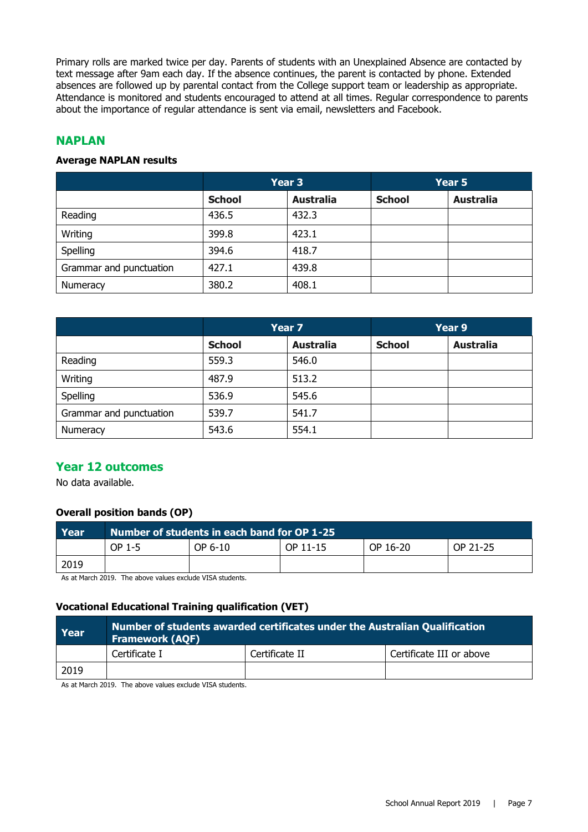Primary rolls are marked twice per day. Parents of students with an Unexplained Absence are contacted by text message after 9am each day. If the absence continues, the parent is contacted by phone. Extended absences are followed up by parental contact from the College support team or leadership as appropriate. Attendance is monitored and students encouraged to attend at all times. Regular correspondence to parents about the importance of regular attendance is sent via email, newsletters and Facebook.

### **NAPLAN**

### **Average NAPLAN results**

|                         | Year 3        |                  | Year 5        |                  |
|-------------------------|---------------|------------------|---------------|------------------|
|                         | <b>School</b> | <b>Australia</b> | <b>School</b> | <b>Australia</b> |
| Reading                 | 436.5         | 432.3            |               |                  |
| Writing                 | 399.8         | 423.1            |               |                  |
| Spelling                | 394.6         | 418.7            |               |                  |
| Grammar and punctuation | 427.1         | 439.8            |               |                  |
| Numeracy                | 380.2         | 408.1            |               |                  |

|                         | Year 7        |                  |               | Year 9           |  |
|-------------------------|---------------|------------------|---------------|------------------|--|
|                         | <b>School</b> | <b>Australia</b> | <b>School</b> | <b>Australia</b> |  |
| Reading                 | 559.3         | 546.0            |               |                  |  |
| Writing                 | 487.9         | 513.2            |               |                  |  |
| Spelling                | 536.9         | 545.6            |               |                  |  |
| Grammar and punctuation | 539.7         | 541.7            |               |                  |  |
| Numeracy                | 543.6         | 554.1            |               |                  |  |

### **Year 12 outcomes**

No data available.

### **Overall position bands (OP)**

| Year | Number of students in each band for OP 1-25 |         |          |          |          |  |
|------|---------------------------------------------|---------|----------|----------|----------|--|
|      | OP 1-5                                      | OP 6-10 | OP 11-15 | OP 16-20 | OP 21-25 |  |
| 2019 |                                             |         |          |          |          |  |

As at March 2019. The above values exclude VISA students.

### **Vocational Educational Training qualification (VET)**

| Year | Number of students awarded certificates under the Australian Qualification<br><b>Framework (AQF)</b> |                |                          |  |  |  |
|------|------------------------------------------------------------------------------------------------------|----------------|--------------------------|--|--|--|
|      | Certificate I                                                                                        | Certificate II | Certificate III or above |  |  |  |
| 2019 |                                                                                                      |                |                          |  |  |  |

As at March 2019. The above values exclude VISA students.